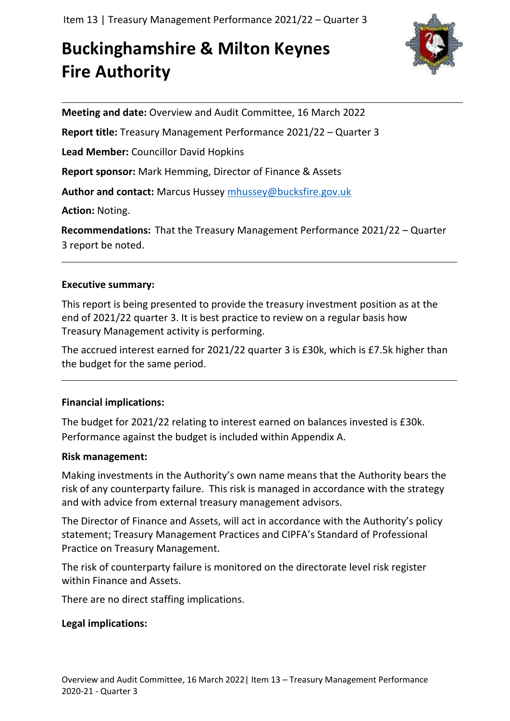# **Buckinghamshire & Milton Keynes Fire Authority**



**Meeting and date:** Overview and Audit Committee, 16 March 2022

**Report title:** Treasury Management Performance 2021/22 – Quarter 3

**Lead Member:** Councillor David Hopkins

**Report sponsor:** Mark Hemming, Director of Finance & Assets

**Author and contact:** Marcus Hussey [mhussey@bucksfire.gov.uk](mailto:mhussey@bucksfire.gov.uk)

**Action:** Noting.

**Recommendations:** That the Treasury Management Performance 2021/22 – Quarter 3 report be noted.

## **Executive summary:**

This report is being presented to provide the treasury investment position as at the end of 2021/22 quarter 3. It is best practice to review on a regular basis how Treasury Management activity is performing.

The accrued interest earned for 2021/22 quarter 3 is £30k, which is £7.5k higher than the budget for the same period.

## **Financial implications:**

The budget for 2021/22 relating to interest earned on balances invested is £30k. Performance against the budget is included within Appendix A.

#### **Risk management:**

Making investments in the Authority's own name means that the Authority bears the risk of any counterparty failure. This risk is managed in accordance with the strategy and with advice from external treasury management advisors.

The Director of Finance and Assets, will act in accordance with the Authority's policy statement; Treasury Management Practices and CIPFA's Standard of Professional Practice on Treasury Management.

The risk of counterparty failure is monitored on the directorate level risk register within Finance and Assets.

There are no direct staffing implications.

## **Legal implications:**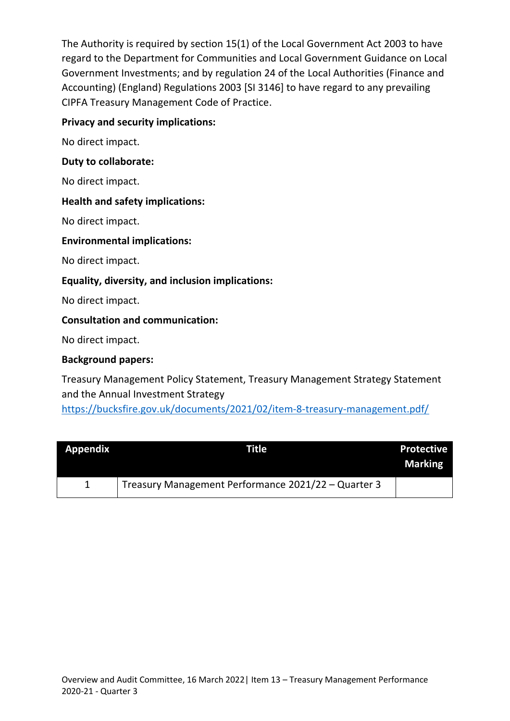The Authority is required by section 15(1) of the Local Government Act 2003 to have regard to the Department for Communities and Local Government Guidance on Local Government Investments; and by regulation 24 of the Local Authorities (Finance and Accounting) (England) Regulations 2003 [SI 3146] to have regard to any prevailing CIPFA Treasury Management Code of Practice.

#### **Privacy and security implications:**

No direct impact.

#### **Duty to collaborate:**

No direct impact.

#### **Health and safety implications:**

No direct impact.

#### **Environmental implications:**

No direct impact.

#### **Equality, diversity, and inclusion implications:**

No direct impact.

#### **Consultation and communication:**

No direct impact.

#### **Background papers:**

Treasury Management Policy Statement, Treasury Management Strategy Statement and the Annual Investment Strategy <https://bucksfire.gov.uk/documents/2021/02/item-8-treasury-management.pdf/>

| <b>Appendix</b> | Title                                               | <b>Protective</b><br><b>Marking</b> |
|-----------------|-----------------------------------------------------|-------------------------------------|
|                 | Treasury Management Performance 2021/22 - Quarter 3 |                                     |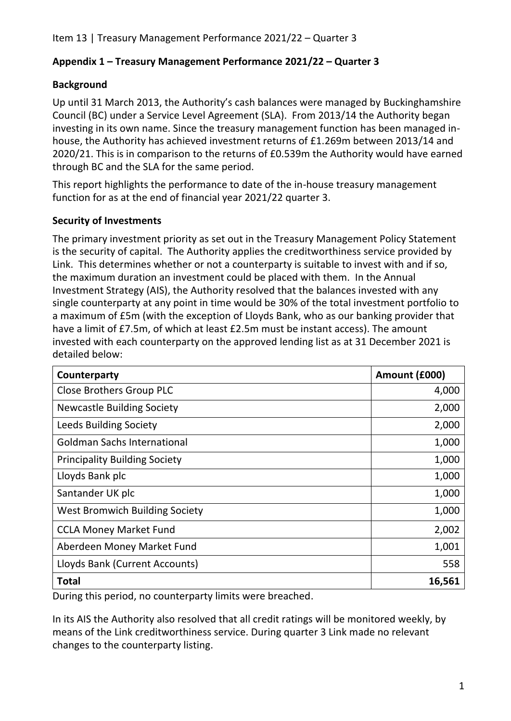# **Appendix 1 – Treasury Management Performance 2021/22 – Quarter 3**

# **Background**

Up until 31 March 2013, the Authority's cash balances were managed by Buckinghamshire Council (BC) under a Service Level Agreement (SLA). From 2013/14 the Authority began investing in its own name. Since the treasury management function has been managed inhouse, the Authority has achieved investment returns of £1.269m between 2013/14 and 2020/21. This is in comparison to the returns of £0.539m the Authority would have earned through BC and the SLA for the same period.

This report highlights the performance to date of the in-house treasury management function for as at the end of financial year 2021/22 quarter 3.

# **Security of Investments**

The primary investment priority as set out in the Treasury Management Policy Statement is the security of capital. The Authority applies the creditworthiness service provided by Link. This determines whether or not a counterparty is suitable to invest with and if so, the maximum duration an investment could be placed with them. In the Annual Investment Strategy (AIS), the Authority resolved that the balances invested with any single counterparty at any point in time would be 30% of the total investment portfolio to a maximum of £5m (with the exception of Lloyds Bank, who as our banking provider that have a limit of £7.5m, of which at least £2.5m must be instant access). The amount invested with each counterparty on the approved lending list as at 31 December 2021 is detailed below:

| Counterparty                          | Amount (£000) |
|---------------------------------------|---------------|
| <b>Close Brothers Group PLC</b>       | 4,000         |
| <b>Newcastle Building Society</b>     | 2,000         |
| <b>Leeds Building Society</b>         | 2,000         |
| <b>Goldman Sachs International</b>    | 1,000         |
| <b>Principality Building Society</b>  | 1,000         |
| Lloyds Bank plc                       | 1,000         |
| Santander UK plc                      | 1,000         |
| <b>West Bromwich Building Society</b> | 1,000         |
| <b>CCLA Money Market Fund</b>         | 2,002         |
| Aberdeen Money Market Fund            | 1,001         |
| Lloyds Bank (Current Accounts)        | 558           |
| <b>Total</b>                          | 16,561        |

During this period, no counterparty limits were breached.

In its AIS the Authority also resolved that all credit ratings will be monitored weekly, by means of the Link creditworthiness service. During quarter 3 Link made no relevant changes to the counterparty listing.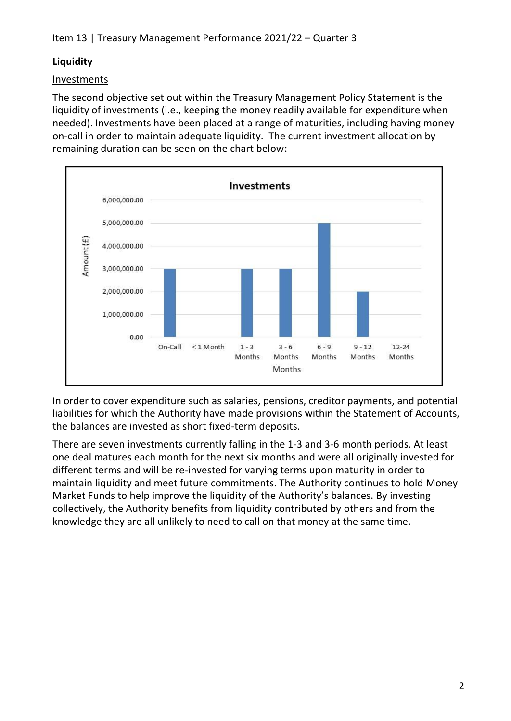# **Liquidity**

# Investments

The second objective set out within the Treasury Management Policy Statement is the liquidity of investments (i.e., keeping the money readily available for expenditure when needed). Investments have been placed at a range of maturities, including having money on-call in order to maintain adequate liquidity. The current investment allocation by remaining duration can be seen on the chart below:



In order to cover expenditure such as salaries, pensions, creditor payments, and potential liabilities for which the Authority have made provisions within the Statement of Accounts, the balances are invested as short fixed-term deposits.

There are seven investments currently falling in the 1-3 and 3-6 month periods. At least one deal matures each month for the next six months and were all originally invested for different terms and will be re-invested for varying terms upon maturity in order to maintain liquidity and meet future commitments. The Authority continues to hold Money Market Funds to help improve the liquidity of the Authority's balances. By investing collectively, the Authority benefits from liquidity contributed by others and from the knowledge they are all unlikely to need to call on that money at the same time.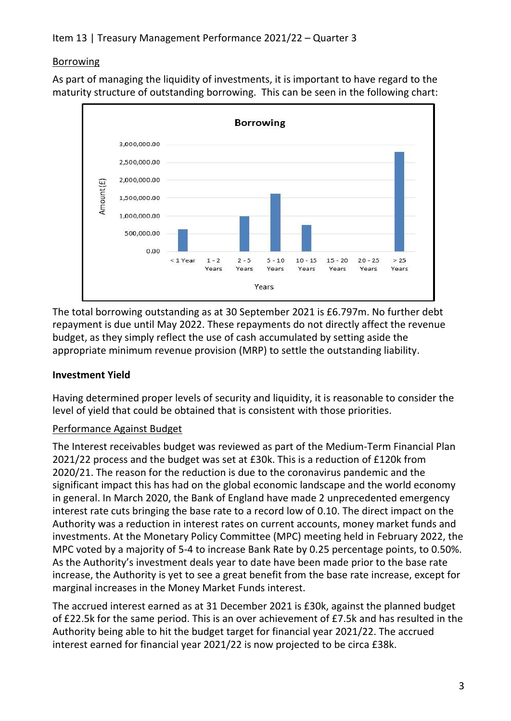## Borrowing

As part of managing the liquidity of investments, it is important to have regard to the maturity structure of outstanding borrowing. This can be seen in the following chart:



The total borrowing outstanding as at 30 September 2021 is £6.797m. No further debt repayment is due until May 2022. These repayments do not directly affect the revenue budget, as they simply reflect the use of cash accumulated by setting aside the appropriate minimum revenue provision (MRP) to settle the outstanding liability.

## **Investment Yield**

Having determined proper levels of security and liquidity, it is reasonable to consider the level of yield that could be obtained that is consistent with those priorities.

# Performance Against Budget

The Interest receivables budget was reviewed as part of the Medium-Term Financial Plan 2021/22 process and the budget was set at £30k. This is a reduction of £120k from 2020/21. The reason for the reduction is due to the coronavirus pandemic and the significant impact this has had on the global economic landscape and the world economy in general. In March 2020, the Bank of England have made 2 unprecedented emergency interest rate cuts bringing the base rate to a record low of 0.10. The direct impact on the Authority was a reduction in interest rates on current accounts, money market funds and investments. At the Monetary Policy Committee (MPC) meeting held in February 2022, the MPC voted by a majority of 5-4 to increase Bank Rate by 0.25 percentage points, to 0.50%. As the Authority's investment deals year to date have been made prior to the base rate increase, the Authority is yet to see a great benefit from the base rate increase, except for marginal increases in the Money Market Funds interest.

The accrued interest earned as at 31 December 2021 is £30k, against the planned budget of £22.5k for the same period. This is an over achievement of £7.5k and has resulted in the Authority being able to hit the budget target for financial year 2021/22. The accrued interest earned for financial year 2021/22 is now projected to be circa £38k.